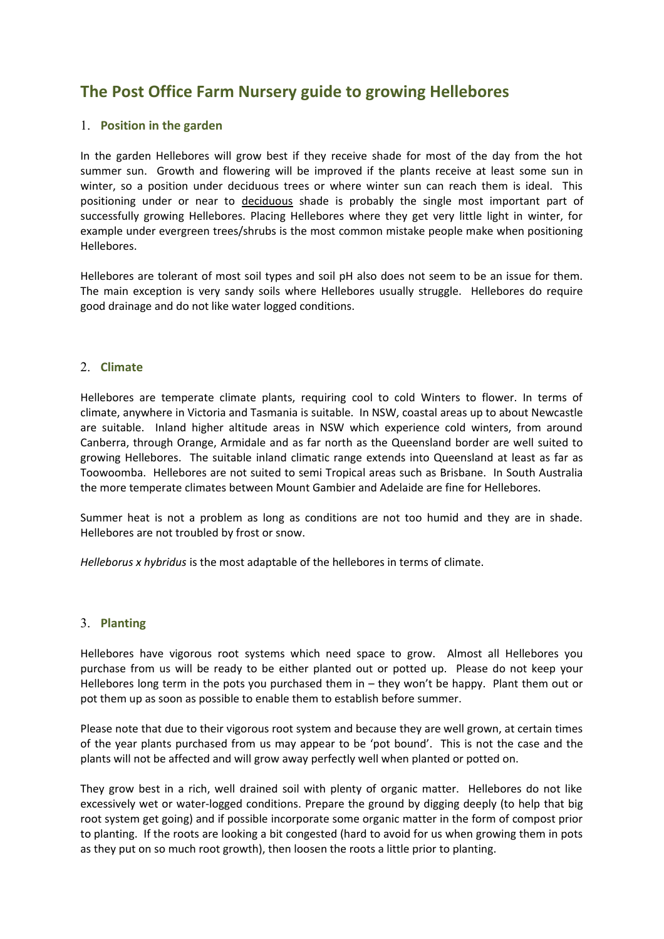# **The Post Office Farm Nursery guide to growing Hellebores**

### 1. **Position in the garden**

In the garden Hellebores will grow best if they receive shade for most of the day from the hot summer sun. Growth and flowering will be improved if the plants receive at least some sun in winter, so a position under deciduous trees or where winter sun can reach them is ideal. This positioning under or near to deciduous shade is probably the single most important part of successfully growing Hellebores. Placing Hellebores where they get very little light in winter, for example under evergreen trees/shrubs is the most common mistake people make when positioning Hellebores.

Hellebores are tolerant of most soil types and soil pH also does not seem to be an issue for them. The main exception is very sandy soils where Hellebores usually struggle. Hellebores do require good drainage and do not like water logged conditions.

#### 2. **Climate**

Hellebores are temperate climate plants, requiring cool to cold Winters to flower. In terms of climate, anywhere in Victoria and Tasmania is suitable. In NSW, coastal areas up to about Newcastle are suitable. Inland higher altitude areas in NSW which experience cold winters, from around Canberra, through Orange, Armidale and as far north as the Queensland border are well suited to growing Hellebores. The suitable inland climatic range extends into Queensland at least as far as Toowoomba. Hellebores are not suited to semi Tropical areas such as Brisbane. In South Australia the more temperate climates between Mount Gambier and Adelaide are fine for Hellebores.

Summer heat is not a problem as long as conditions are not too humid and they are in shade. Hellebores are not troubled by frost or snow.

*Helleborus x hybridus* is the most adaptable of the hellebores in terms of climate.

#### 3. **Planting**

Hellebores have vigorous root systems which need space to grow. Almost all Hellebores you purchase from us will be ready to be either planted out or potted up. Please do not keep your Hellebores long term in the pots you purchased them in – they won't be happy. Plant them out or pot them up as soon as possible to enable them to establish before summer.

Please note that due to their vigorous root system and because they are well grown, at certain times of the year plants purchased from us may appear to be 'pot bound'. This is not the case and the plants will not be affected and will grow away perfectly well when planted or potted on.

They grow best in a rich, well drained soil with plenty of organic matter. Hellebores do not like excessively wet or water-logged conditions. Prepare the ground by digging deeply (to help that big root system get going) and if possible incorporate some organic matter in the form of compost prior to planting. If the roots are looking a bit congested (hard to avoid for us when growing them in pots as they put on so much root growth), then loosen the roots a little prior to planting.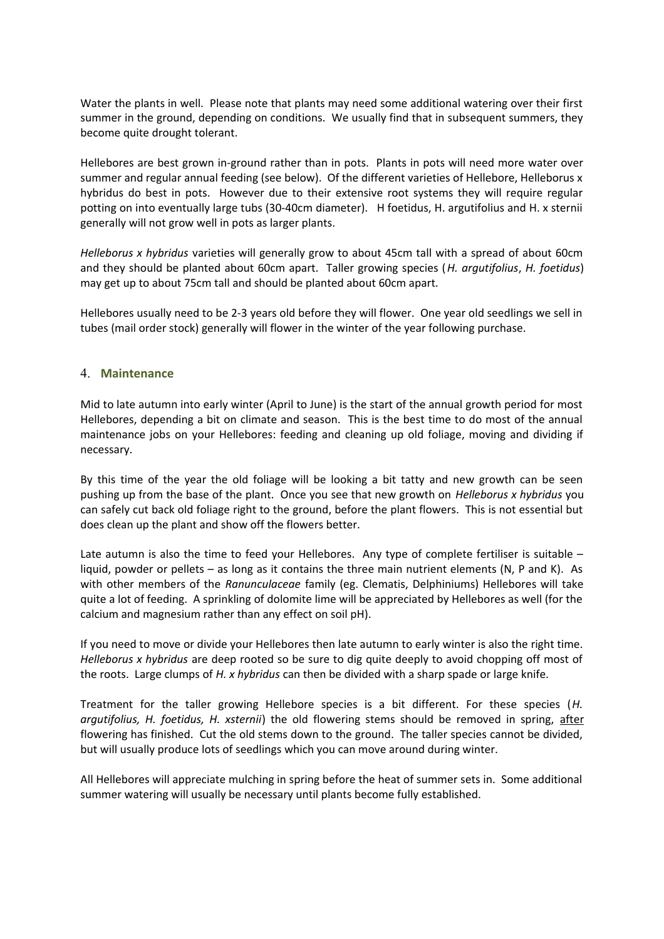Water the plants in well. Please note that plants may need some additional watering over their first summer in the ground, depending on conditions. We usually find that in subsequent summers, they become quite drought tolerant.

Hellebores are best grown in-ground rather than in pots. Plants in pots will need more water over summer and regular annual feeding (see below). Of the different varieties of Hellebore, Helleborus x hybridus do best in pots. However due to their extensive root systems they will require regular potting on into eventually large tubs (30-40cm diameter). H foetidus, H. argutifolius and H. x sternii generally will not grow well in pots as larger plants.

*Helleborus x hybridus* varieties will generally grow to about 45cm tall with a spread of about 60cm and they should be planted about 60cm apart. Taller growing species (*H. argutifolius*, *H. foetidus*) may get up to about 75cm tall and should be planted about 60cm apart.

Hellebores usually need to be 2-3 years old before they will flower. One year old seedlings we sell in tubes (mail order stock) generally will flower in the winter of the year following purchase.

#### 4. **Maintenance**

Mid to late autumn into early winter (April to June) is the start of the annual growth period for most Hellebores, depending a bit on climate and season. This is the best time to do most of the annual maintenance jobs on your Hellebores: feeding and cleaning up old foliage, moving and dividing if necessary.

By this time of the year the old foliage will be looking a bit tatty and new growth can be seen pushing up from the base of the plant. Once you see that new growth on *Helleborus x hybridus* you can safely cut back old foliage right to the ground, before the plant flowers. This is not essential but does clean up the plant and show off the flowers better.

Late autumn is also the time to feed your Hellebores. Any type of complete fertiliser is suitable liquid, powder or pellets – as long as it contains the three main nutrient elements (N, P and K). As with other members of the *Ranunculaceae* family (eg. Clematis, Delphiniums) Hellebores will take quite a lot of feeding. A sprinkling of dolomite lime will be appreciated by Hellebores as well (for the calcium and magnesium rather than any effect on soil pH).

If you need to move or divide your Hellebores then late autumn to early winter is also the right time. *Helleborus x hybridus* are deep rooted so be sure to dig quite deeply to avoid chopping off most of the roots. Large clumps of *H. x hybridus* can then be divided with a sharp spade or large knife.

Treatment for the taller growing Hellebore species is a bit different. For these species (*H. argutifolius, H. foetidus, H. xsternii*) the old flowering stems should be removed in spring, after flowering has finished. Cut the old stems down to the ground. The taller species cannot be divided, but will usually produce lots of seedlings which you can move around during winter.

All Hellebores will appreciate mulching in spring before the heat of summer sets in. Some additional summer watering will usually be necessary until plants become fully established.